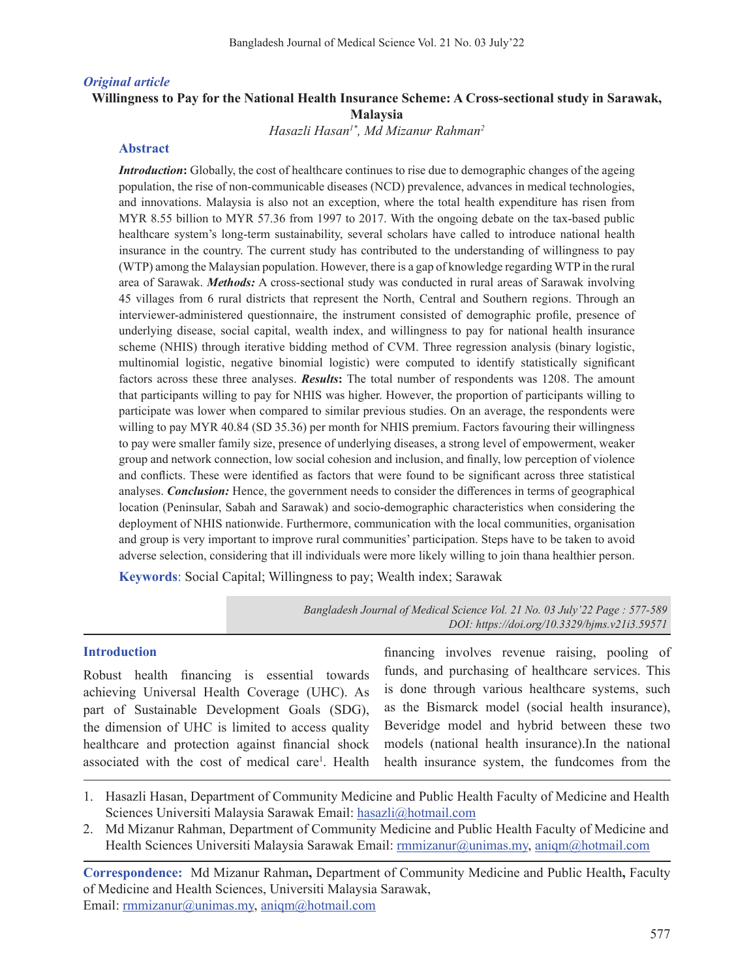#### *Original article*

### **Willingness to Pay for the National Health Insurance Scheme: A Cross-sectional study in Sarawak, Malaysia**

*Hasazli Hasan1\*, Md Mizanur Rahman2*

### **Abstract**

*Introduction*: Globally, the cost of healthcare continues to rise due to demographic changes of the ageing population, the rise of non-communicable diseases (NCD) prevalence, advances in medical technologies, and innovations. Malaysia is also not an exception, where the total health expenditure has risen from MYR 8.55 billion to MYR 57.36 from 1997 to 2017. With the ongoing debate on the tax-based public healthcare system's long-term sustainability, several scholars have called to introduce national health insurance in the country. The current study has contributed to the understanding of willingness to pay (WTP) among the Malaysian population. However, there is a gap of knowledge regarding WTP in the rural area of Sarawak. *Methods:* A cross-sectional study was conducted in rural areas of Sarawak involving 45 villages from 6 rural districts that represent the North, Central and Southern regions. Through an interviewer-administered questionnaire, the instrument consisted of demographic profile, presence of underlying disease, social capital, wealth index, and willingness to pay for national health insurance scheme (NHIS) through iterative bidding method of CVM. Three regression analysis (binary logistic, multinomial logistic, negative binomial logistic) were computed to identify statistically significant factors across these three analyses. *Results***:** The total number of respondents was 1208. The amount that participants willing to pay for NHIS was higher. However, the proportion of participants willing to participate was lower when compared to similar previous studies. On an average, the respondents were willing to pay MYR 40.84 (SD 35.36) per month for NHIS premium. Factors favouring their willingness to pay were smaller family size, presence of underlying diseases, a strong level of empowerment, weaker group and network connection, low social cohesion and inclusion, and finally, low perception of violence and conflicts. These were identified as factors that were found to be significant across three statistical analyses. *Conclusion:* Hence, the government needs to consider the differences in terms of geographical location (Peninsular, Sabah and Sarawak) and socio-demographic characteristics when considering the deployment of NHIS nationwide. Furthermore, communication with the local communities, organisation and group is very important to improve rural communities' participation. Steps have to be taken to avoid adverse selection, considering that ill individuals were more likely willing to join thana healthier person.

**Keywords**: Social Capital; Willingness to pay; Wealth index; Sarawak

*Bangladesh Journal of Medical Science Vol. 21 No. 03 July'22 Page : 577-589 DOI: https://doi.org/10.3329/bjms.v21i3.59571*

#### **Introduction**

Robust health financing is essential towards achieving Universal Health Coverage (UHC). As part of Sustainable Development Goals (SDG), the dimension of UHC is limited to access quality healthcare and protection against financial shock associated with the cost of medical care<sup>1</sup>. Health

financing involves revenue raising, pooling of funds, and purchasing of healthcare services. This is done through various healthcare systems, such as the Bismarck model (social health insurance), Beveridge model and hybrid between these two models (national health insurance).In the national health insurance system, the fundcomes from the

- 1. Hasazli Hasan, Department of Community Medicine and Public Health Faculty of Medicine and Health Sciences Universiti Malaysia Sarawak Email: hasazli@hotmail.com
- 2. Md Mizanur Rahman, Department of Community Medicine and Public Health Faculty of Medicine and Health Sciences Universiti Malaysia Sarawak Email: rmmizanur@unimas.my, aniqm@hotmail.com

**Correspondence:** Md Mizanur Rahman**,** Department of Community Medicine and Public Health**,** Faculty of Medicine and Health Sciences, Universiti Malaysia Sarawak, Email: rmmizanur@unimas.my, aniqm@hotmail.com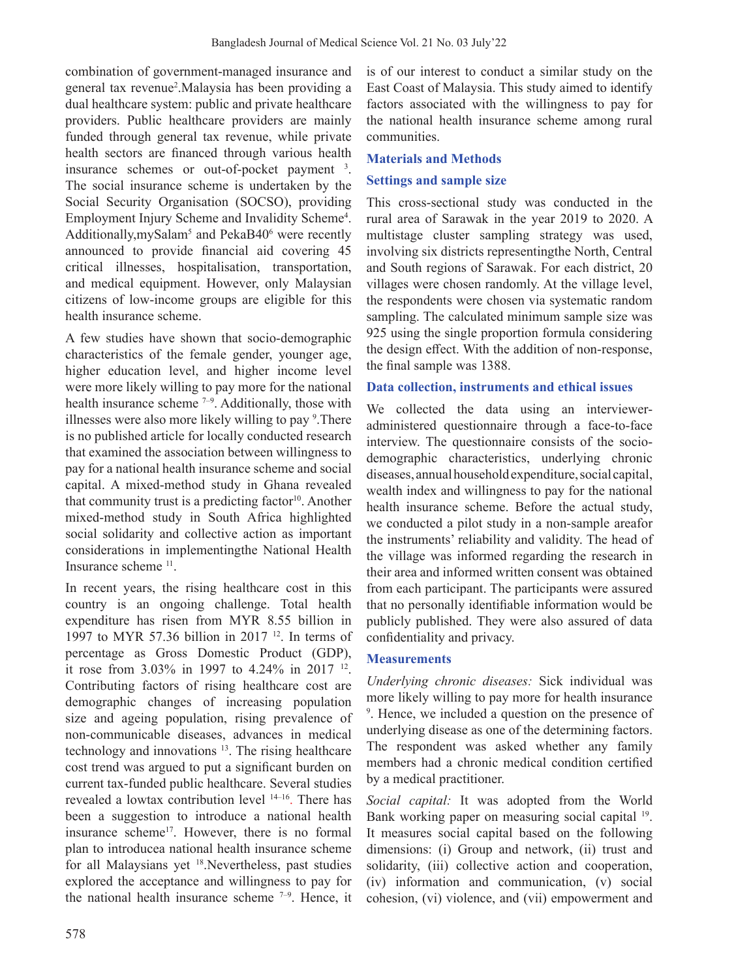combination of government-managed insurance and general tax revenue<sup>2</sup> .Malaysia has been providing a dual healthcare system: public and private healthcare providers. Public healthcare providers are mainly funded through general tax revenue, while private health sectors are financed through various health insurance schemes or out-of-pocket payment <sup>3</sup>. The social insurance scheme is undertaken by the Social Security Organisation (SOCSO), providing Employment Injury Scheme and Invalidity Scheme<sup>4</sup>. Additionally, my Salam<sup>5</sup> and PekaB40<sup>6</sup> were recently announced to provide financial aid covering 45 critical illnesses, hospitalisation, transportation, and medical equipment. However, only Malaysian citizens of low-income groups are eligible for this health insurance scheme.

A few studies have shown that socio-demographic characteristics of the female gender, younger age, higher education level, and higher income level were more likely willing to pay more for the national health insurance scheme <sup>7-9</sup>. Additionally, those with illnesses were also more likely willing to pay <sup>9</sup>. There is no published article for locally conducted research that examined the association between willingness to pay for a national health insurance scheme and social capital. A mixed-method study in Ghana revealed that community trust is a predicting factor $10$ . Another mixed-method study in South Africa highlighted social solidarity and collective action as important considerations in implementingthe National Health Insurance scheme 11.

In recent years, the rising healthcare cost in this country is an ongoing challenge. Total health expenditure has risen from MYR 8.55 billion in 1997 to MYR 57.36 billion in 2017 12. In terms of percentage as Gross Domestic Product (GDP), it rose from 3.03% in 1997 to 4.24% in 2017 12. Contributing factors of rising healthcare cost are demographic changes of increasing population size and ageing population, rising prevalence of non-communicable diseases, advances in medical technology and innovations <sup>13</sup>. The rising healthcare cost trend was argued to put a significant burden on current tax-funded public healthcare. Several studies revealed a lowtax contribution level 14–16. There has been a suggestion to introduce a national health insurance scheme17. However, there is no formal plan to introducea national health insurance scheme for all Malaysians yet 18.Nevertheless, past studies explored the acceptance and willingness to pay for the national health insurance scheme  $7-9$ . Hence, it is of our interest to conduct a similar study on the East Coast of Malaysia. This study aimed to identify factors associated with the willingness to pay for the national health insurance scheme among rural communities.

## **Materials and Methods**

# **Settings and sample size**

This cross-sectional study was conducted in the rural area of Sarawak in the year 2019 to 2020. A multistage cluster sampling strategy was used, involving six districts representingthe North, Central and South regions of Sarawak. For each district, 20 villages were chosen randomly. At the village level, the respondents were chosen via systematic random sampling. The calculated minimum sample size was 925 using the single proportion formula considering the design effect. With the addition of non-response, the final sample was 1388.

## **Data collection, instruments and ethical issues**

We collected the data using an intervieweradministered questionnaire through a face-to-face interview. The questionnaire consists of the sociodemographic characteristics, underlying chronic diseases, annual household expenditure, social capital, wealth index and willingness to pay for the national health insurance scheme. Before the actual study, we conducted a pilot study in a non-sample areafor the instruments' reliability and validity. The head of the village was informed regarding the research in their area and informed written consent was obtained from each participant. The participants were assured that no personally identifiable information would be publicly published. They were also assured of data confidentiality and privacy.

## **Measurements**

*Underlying chronic diseases:* Sick individual was more likely willing to pay more for health insurance 9 . Hence, we included a question on the presence of underlying disease as one of the determining factors. The respondent was asked whether any family members had a chronic medical condition certified by a medical practitioner.

*Social capital:* It was adopted from the World Bank working paper on measuring social capital <sup>19</sup>. It measures social capital based on the following dimensions: (i) Group and network, (ii) trust and solidarity, (iii) collective action and cooperation, (iv) information and communication, (v) social cohesion, (vi) violence, and (vii) empowerment and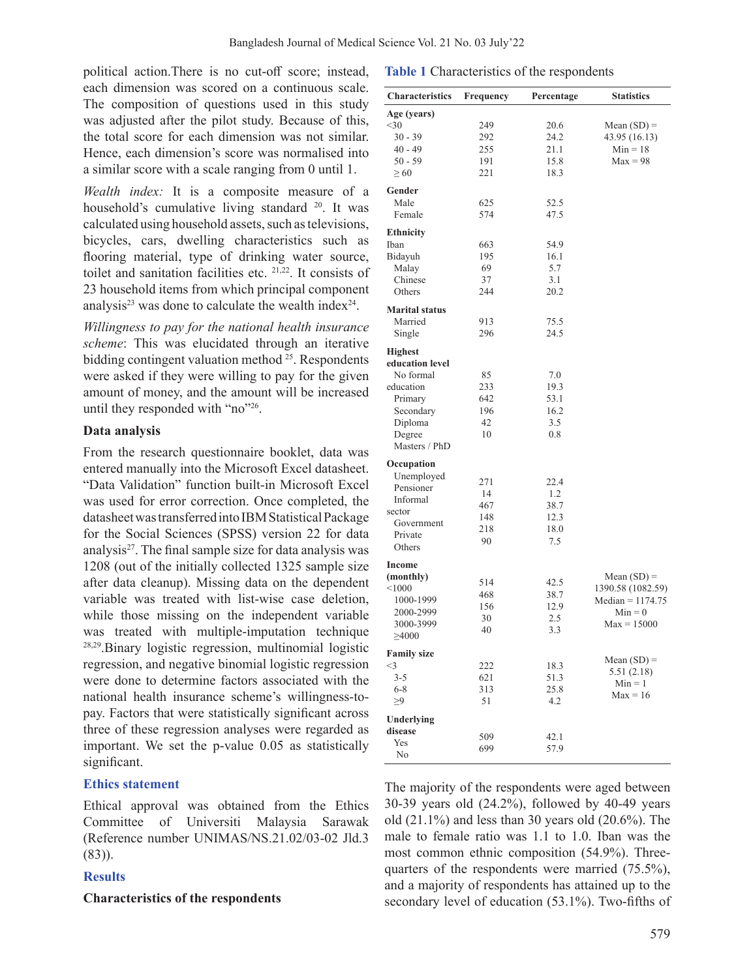political action.There is no cut-off score; instead, each dimension was scored on a continuous scale. The composition of questions used in this study was adjusted after the pilot study. Because of this, the total score for each dimension was not similar. Hence, each dimension's score was normalised into a similar score with a scale ranging from 0 until 1.

*Wealth index:* It is a composite measure of a household's cumulative living standard <sup>20</sup>. It was calculated using household assets, such as televisions, bicycles, cars, dwelling characteristics such as flooring material, type of drinking water source, toilet and sanitation facilities etc. 21,22. It consists of 23 household items from which principal component analysis<sup>23</sup> was done to calculate the wealth index<sup>24</sup>.

*Willingness to pay for the national health insurance scheme*: This was elucidated through an iterative bidding contingent valuation method  $25$ . Respondents were asked if they were willing to pay for the given amount of money, and the amount will be increased until they responded with "no"26.

## **Data analysis**

From the research questionnaire booklet, data was entered manually into the Microsoft Excel datasheet. "Data Validation" function built-in Microsoft Excel was used for error correction. Once completed, the datasheet was transferred into IBM Statistical Package for the Social Sciences (SPSS) version 22 for data analysis $27$ . The final sample size for data analysis was 1208 (out of the initially collected 1325 sample size after data cleanup). Missing data on the dependent variable was treated with list-wise case deletion, while those missing on the independent variable was treated with multiple-imputation technique 28,29.Binary logistic regression, multinomial logistic regression, and negative binomial logistic regression were done to determine factors associated with the national health insurance scheme's willingness-topay. Factors that were statistically significant across three of these regression analyses were regarded as important. We set the p-value 0.05 as statistically significant.

## **Ethics statement**

Ethical approval was obtained from the Ethics Committee of Universiti Malaysia Sarawak (Reference number UNIMAS/NS.21.02/03-02 Jld.3 (83)).

## **Results**

### **Characteristics of the respondents**

|  | Table 1 Characteristics of the respondents |  |  |
|--|--------------------------------------------|--|--|
|--|--------------------------------------------|--|--|

| Characteristics       | Frequency | Percentage | <b>Statistics</b>  |
|-----------------------|-----------|------------|--------------------|
| Age (years)           |           |            |                    |
| $<$ 30                | 249       | 20.6       | Mean $(SD)$ =      |
| $30 - 39$             | 292       | 24.2       | 43.95 (16.13)      |
|                       | 255       | 21.1       | $Min = 18$         |
| $40 - 49$             |           | 15.8       |                    |
| 50 - 59               | 191       |            | $Max = 98$         |
| $\geq 60$             | 221       | 18.3       |                    |
| Gender                |           |            |                    |
| Male                  | 625       | 52.5       |                    |
| Female                | 574       | 47.5       |                    |
| <b>Ethnicity</b>      |           |            |                    |
| Iban                  | 663       | 54.9       |                    |
| Bidayuh               | 195       | 16.1       |                    |
| Malay                 | 69        | 5.7        |                    |
| Chinese               | 37        | 3.1        |                    |
| Others                | 244       | 20.2       |                    |
| <b>Marital status</b> |           |            |                    |
| Married               | 913       | 75.5       |                    |
| Single                | 296       | 24.5       |                    |
|                       |           |            |                    |
| <b>Highest</b>        |           |            |                    |
| education level       |           |            |                    |
| No formal             | 85        | 7.0        |                    |
| education             | 233       | 19.3       |                    |
| Primary               | 642       | 53.1       |                    |
| Secondary             | 196       | 16.2       |                    |
| Diploma               | 42        | 3.5        |                    |
| Degree                | 10        | 0.8        |                    |
| Masters / PhD         |           |            |                    |
| Occupation            |           |            |                    |
| Unemployed            |           |            |                    |
| Pensioner             | 271       | 22.4       |                    |
| Informal              | 14        | 1.2        |                    |
|                       | 467       | 38.7       |                    |
| sector                | 148       | 12.3       |                    |
| Government            | 218       | 18.0       |                    |
| Private               | 90        | 7.5        |                    |
| Others                |           |            |                    |
| Income                |           |            |                    |
| (monthly)             | 514       | 42.5       | Mean $(SD)$ =      |
| < 1000                | 468       | 38.7       | 1390.58 (1082.59)  |
| 1000-1999             | 156       | 12.9       | $Median = 1174.75$ |
| 2000-2999             | 30        | 2.5        | $Min = 0$          |
| 3000-3999             |           |            | $Max = 15000$      |
| $\geq 4000$           | 40        | 3.3        |                    |
| <b>Family size</b>    |           |            |                    |
| $<$ 3                 | 222       | 18.3       | Mean $(SD)$ =      |
| $3 - 5$               | 621       | 51.3       | 5.51(2.18)         |
| $6 - 8$               | 313       | 25.8       | $Min = 1$          |
| $\geq 9$              | 51        | 4.2        | $Max = 16$         |
|                       |           |            |                    |
| Underlying<br>disease |           |            |                    |
| Yes                   | 509       | 42.1       |                    |
| No                    | 699       | 57.9       |                    |
|                       |           |            |                    |

The majority of the respondents were aged between 30-39 years old (24.2%), followed by 40-49 years old  $(21.1\%)$  and less than 30 years old  $(20.6\%)$ . The male to female ratio was 1.1 to 1.0. Iban was the most common ethnic composition (54.9%). Threequarters of the respondents were married (75.5%), and a majority of respondents has attained up to the secondary level of education (53.1%). Two-fifths of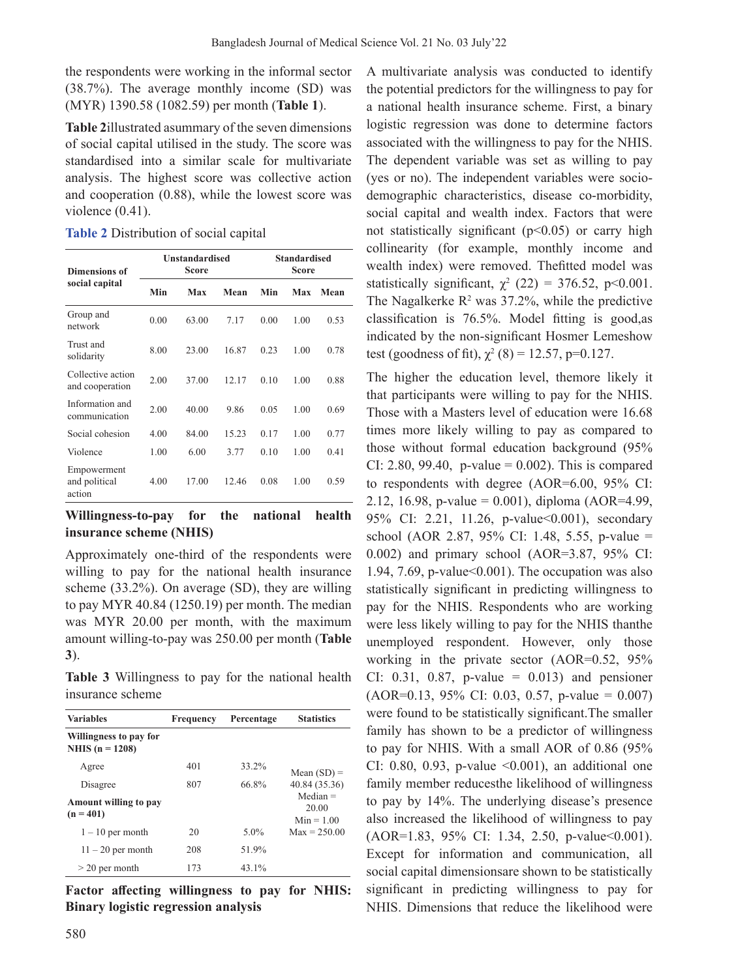the respondents were working in the informal sector (38.7%). The average monthly income (SD) was (MYR) 1390.58 (1082.59) per month (**Table 1**).

**Table 2**illustrated asummary of the seven dimensions of social capital utilised in the study. The score was standardised into a similar scale for multivariate analysis. The highest score was collective action and cooperation (0.88), while the lowest score was violence (0.41).

**Table 2** Distribution of social capital

| <b>Dimensions of</b><br>social capital |      | <b>Unstandardised</b><br>Score |       | <b>Standardised</b><br><b>Score</b> |      |      |
|----------------------------------------|------|--------------------------------|-------|-------------------------------------|------|------|
|                                        | Min  | Max                            | Mean  | Min                                 | Max  | Mean |
| Group and<br>network                   | 0.00 | 63.00                          | 7.17  | 0.00                                | 1.00 | 0.53 |
| Trust and<br>solidarity                | 8.00 | 23.00                          | 16.87 | 0.23                                | 1.00 | 0.78 |
| Collective action<br>and cooperation   | 2.00 | 37.00                          | 12.17 | 0.10                                | 1.00 | 0.88 |
| Information and<br>communication       | 2.00 | 40.00                          | 9.86  | 0.05                                | 1.00 | 0.69 |
| Social cohesion                        | 4.00 | 84.00                          | 15.23 | 0.17                                | 1.00 | 0.77 |
| Violence                               | 1.00 | 6.00                           | 3.77  | 0.10                                | 1.00 | 0.41 |
| Empowerment<br>and political<br>action | 4.00 | 17.00                          | 12.46 | 0.08                                | 1.00 | 0.59 |

**Willingness-to-pay for the national health insurance scheme (NHIS)**

Approximately one-third of the respondents were willing to pay for the national health insurance scheme (33.2%). On average (SD), they are willing to pay MYR 40.84 (1250.19) per month. The median was MYR 20.00 per month, with the maximum amount willing-to-pay was 250.00 per month (**Table 3**).

**Table 3** Willingness to pay for the national health insurance scheme

| <b>Variables</b>                            | Frequency | Percentage | <b>Statistics</b>                   |
|---------------------------------------------|-----------|------------|-------------------------------------|
| Willingness to pay for<br>NHIS $(n = 1208)$ |           |            |                                     |
| Agree                                       | 401       | 33.2%      | Mean $(SD)$ =                       |
| Disagree                                    | 807       | 66.8%      | 40.84 (35.36)                       |
| Amount willing to pay<br>$(n = 401)$        |           |            | $Median =$<br>20.00<br>$Min = 1.00$ |
| $1 - 10$ per month                          | 20        | $5.0\%$    | $Max = 250.00$                      |
| $11 - 20$ per month                         | 208       | 51.9%      |                                     |
| $>$ 20 per month                            | 173       | 43.1%      |                                     |

**Factor affecting willingness to pay for NHIS: Binary logistic regression analysis** 

580

A multivariate analysis was conducted to identify the potential predictors for the willingness to pay for a national health insurance scheme. First, a binary logistic regression was done to determine factors associated with the willingness to pay for the NHIS. The dependent variable was set as willing to pay (yes or no). The independent variables were sociodemographic characteristics, disease co-morbidity, social capital and wealth index. Factors that were not statistically significant ( $p$ <0.05) or carry high collinearity (for example, monthly income and wealth index) were removed. Thefitted model was statistically significant,  $\chi^2$  (22) = 376.52, p<0.001. The Nagalkerke  $\mathbb{R}^2$  was 37.2%, while the predictive classification is 76.5%. Model fitting is good,as indicated by the non-significant Hosmer Lemeshow test (goodness of fit),  $\chi^2$  (8) = 12.57, p=0.127.

The higher the education level, themore likely it that participants were willing to pay for the NHIS. Those with a Masters level of education were 16.68 times more likely willing to pay as compared to those without formal education background (95% CI: 2.80, 99.40, p-value =  $0.002$ ). This is compared to respondents with degree (AOR=6.00, 95% CI: 2.12, 16.98, p-value = 0.001), diploma (AOR=4.99, 95% CI: 2.21, 11.26, p-value < 0.001), secondary school (AOR 2.87, 95% CI: 1.48, 5.55, p-value = 0.002) and primary school (AOR=3.87, 95% CI: 1.94, 7.69, p-value $<0.001$ ). The occupation was also statistically significant in predicting willingness to pay for the NHIS. Respondents who are working were less likely willing to pay for the NHIS thanthe unemployed respondent. However, only those working in the private sector (AOR=0.52, 95% CI: 0.31, 0.87, p-value =  $0.013$ ) and pensioner  $(AOR=0.13, 95\% \text{ CI: } 0.03, 0.57, \text{ p-value } = 0.007)$ were found to be statistically significant.The smaller family has shown to be a predictor of willingness to pay for NHIS. With a small AOR of 0.86 (95% CI: 0.80, 0.93, p-value  $\leq$ 0.001), an additional one family member reducesthe likelihood of willingness to pay by 14%. The underlying disease's presence also increased the likelihood of willingness to pay  $(AOR=1.83, 95\% \text{ CI: } 1.34, 2.50, \text{ p-value} \leq 0.001$ . Except for information and communication, all social capital dimensionsare shown to be statistically significant in predicting willingness to pay for NHIS. Dimensions that reduce the likelihood were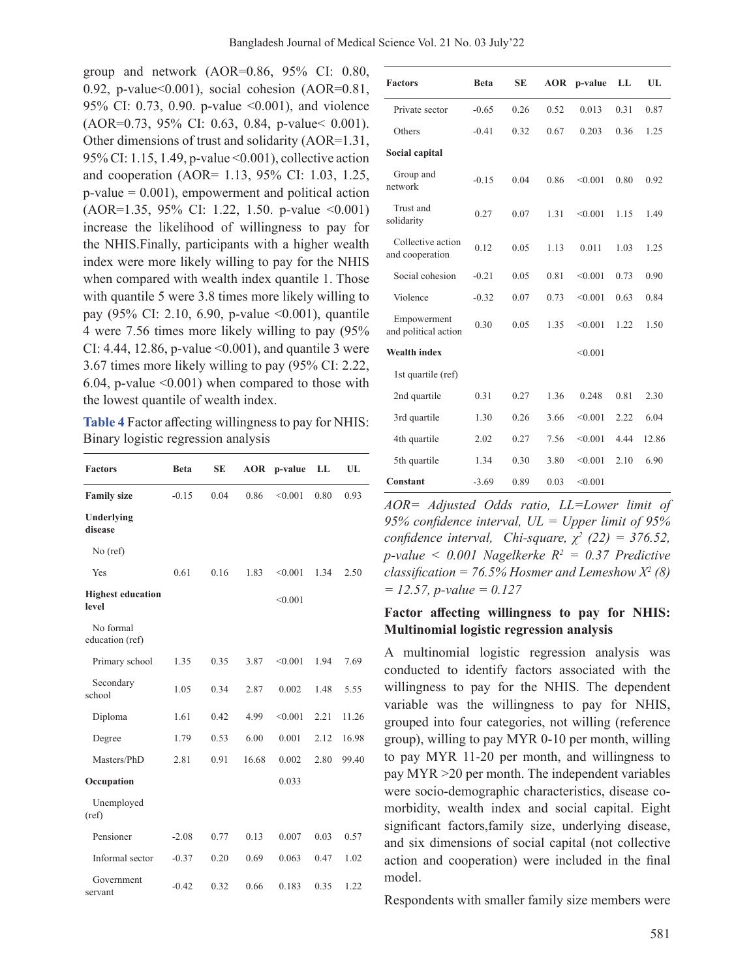group and network (AOR=0.86, 95% CI: 0.80, 0.92, p-value<0.001), social cohesion (AOR=0.81, 95% CI: 0.73, 0.90. p-value <0.001), and violence (AOR=0.73, 95% CI: 0.63, 0.84, p-value< 0.001). Other dimensions of trust and solidarity (AOR=1.31, 95% CI: 1.15, 1.49, p-value <0.001), collective action and cooperation (AOR= 1.13, 95% CI: 1.03, 1.25,  $p$ -value = 0.001), empowerment and political action (AOR=1.35, 95% CI: 1.22, 1.50. p-value <0.001) increase the likelihood of willingness to pay for the NHIS.Finally, participants with a higher wealth index were more likely willing to pay for the NHIS when compared with wealth index quantile 1. Those with quantile 5 were 3.8 times more likely willing to pay (95% CI: 2.10, 6.90, p-value <0.001), quantile 4 were 7.56 times more likely willing to pay (95% CI: 4.44, 12.86, p-value  $\leq 0.001$ ), and quantile 3 were 3.67 times more likely willing to pay (95% CI: 2.22, 6.04, p-value <0.001) when compared to those with the lowest quantile of wealth index.

**Table 4** Factor affecting willingness to pay for NHIS: Binary logistic regression analysis

| <b>Factors</b>                    | <b>Beta</b> | <b>SE</b> | <b>AOR</b> | p-value | LL   | UL    |
|-----------------------------------|-------------|-----------|------------|---------|------|-------|
| <b>Family size</b>                | $-0.15$     | 0.04      | 0.86       | < 0.001 | 0.80 | 0.93  |
| Underlying<br>disease             |             |           |            |         |      |       |
| $No$ (ref)                        |             |           |            |         |      |       |
| Yes                               | 0.61        | 0.16      | 1.83       | < 0.001 | 1.34 | 2.50  |
| <b>Highest education</b><br>level |             |           |            | < 0.001 |      |       |
| No formal<br>education (ref)      |             |           |            |         |      |       |
| Primary school                    | 1.35        | 0.35      | 3.87       | < 0.001 | 1.94 | 7.69  |
| Secondary<br>school               | 1.05        | 0.34      | 2.87       | 0.002   | 1.48 | 5.55  |
| Diploma                           | 1.61        | 0.42      | 4.99       | < 0.001 | 2.21 | 11.26 |
| Degree                            | 1.79        | 0.53      | 6.00       | 0.001   | 2.12 | 16.98 |
| Masters/PhD                       | 2.81        | 0.91      | 16.68      | 0.002   | 2.80 | 99.40 |
| Occupation                        |             |           |            | 0.033   |      |       |
| Unemployed<br>(ref)               |             |           |            |         |      |       |
| Pensioner                         | $-2.08$     | 0.77      | 0.13       | 0.007   | 0.03 | 0.57  |
| Informal sector                   | $-0.37$     | 0.20      | 0.69       | 0.063   | 0.47 | 1.02  |
| Government<br>servant             | $-0.42$     | 0.32      | 0.66       | 0.183   | 0.35 | 1.22  |

| <b>Factors</b>                       | <b>Beta</b> | <b>SE</b> | <b>AOR</b> | p-value | LL   | UL    |
|--------------------------------------|-------------|-----------|------------|---------|------|-------|
| Private sector                       | $-0.65$     | 0.26      | 0.52       | 0.013   | 0.31 | 0.87  |
| Others                               | $-0.41$     | 0.32      | 0.67       | 0.203   | 0.36 | 1.25  |
| Social capital                       |             |           |            |         |      |       |
| Group and<br>network                 | $-0.15$     | 0.04      | 0.86       | < 0.001 | 0.80 | 0.92  |
| Trust and<br>solidarity              | 0.27        | 0.07      | 1.31       | < 0.001 | 1.15 | 1.49  |
| Collective action<br>and cooperation | 0.12        | 0.05      | 1.13       | 0.011   | 1.03 | 1.25  |
| Social cohesion                      | $-0.21$     | 0.05      | 0.81       | < 0.001 | 0.73 | 0.90  |
| Violence                             | $-0.32$     | 0.07      | 0.73       | < 0.001 | 0.63 | 0.84  |
| Empowerment<br>and political action  | 0.30        | 0.05      | 1.35       | < 0.001 | 1.22 | 1.50  |
| <b>Wealth index</b>                  |             |           |            | < 0.001 |      |       |
| 1st quartile (ref)                   |             |           |            |         |      |       |
| 2nd quartile                         | 0.31        | 0.27      | 1.36       | 0.248   | 0.81 | 2.30  |
| 3rd quartile                         | 1.30        | 0.26      | 3.66       | < 0.001 | 2.22 | 6.04  |
| 4th quartile                         | 2.02        | 0.27      | 7.56       | < 0.001 | 4.44 | 12.86 |
| 5th quartile                         | 1.34        | 0.30      | 3.80       | < 0.001 | 2.10 | 6.90  |
| Constant                             | $-3.69$     | 0.89      | 0.03       | < 0.001 |      |       |

*AOR= Adjusted Odds ratio, LL=Lower limit of 95% confidence interval, UL = Upper limit of 95% confidence interval, Chi-square,*  $\chi^2$  (22) = 376.52, *p-value < 0.001 Nagelkerke R2 = 0.37 Predictive classification* =  $76.5\%$  *Hosmer and Lemeshow X<sup>2</sup> (8) = 12.57, p-value = 0.127*

# **Factor affecting willingness to pay for NHIS: Multinomial logistic regression analysis**

A multinomial logistic regression analysis was conducted to identify factors associated with the willingness to pay for the NHIS. The dependent variable was the willingness to pay for NHIS, grouped into four categories, not willing (reference group), willing to pay MYR 0-10 per month, willing to pay MYR 11-20 per month, and willingness to pay MYR >20 per month. The independent variables were socio-demographic characteristics, disease comorbidity, wealth index and social capital. Eight significant factors,family size, underlying disease, and six dimensions of social capital (not collective action and cooperation) were included in the final model.

Respondents with smaller family size members were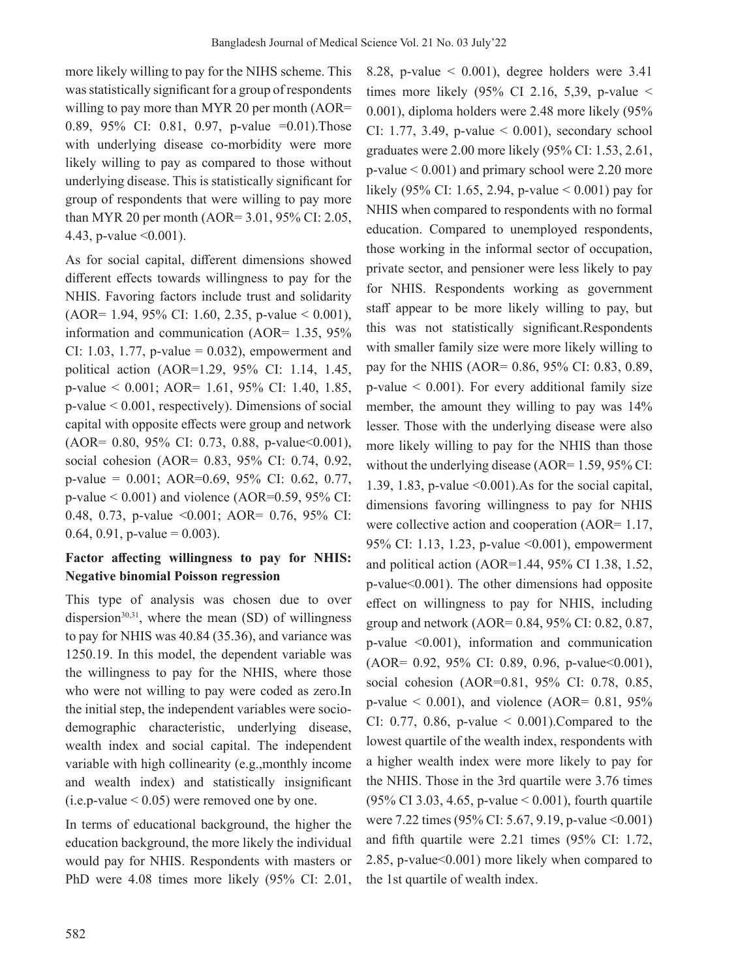more likely willing to pay for the NIHS scheme. This was statistically significant for a group of respondents willing to pay more than MYR 20 per month (AOR= 0.89, 95% CI: 0.81, 0.97, p-value =0.01).Those with underlying disease co-morbidity were more likely willing to pay as compared to those without underlying disease. This is statistically significant for group of respondents that were willing to pay more than MYR 20 per month (AOR= 3.01, 95% CI: 2.05, 4.43, p-value <0.001).

As for social capital, different dimensions showed different effects towards willingness to pay for the NHIS. Favoring factors include trust and solidarity (AOR= 1.94, 95% CI: 1.60, 2.35, p-value < 0.001), information and communication (AOR= 1.35, 95% CI: 1.03, 1.77, p-value =  $0.032$ ), empowerment and political action (AOR=1.29, 95% CI: 1.14, 1.45, p-value < 0.001; AOR= 1.61, 95% CI: 1.40, 1.85, p-value < 0.001, respectively). Dimensions of social capital with opposite effects were group and network  $(AOR = 0.80, 95\% \text{ CI: } 0.73, 0.88, \text{ p-value} < 0.001),$ social cohesion (AOR= 0.83, 95% CI: 0.74, 0.92, p-value = 0.001; AOR=0.69, 95% CI: 0.62, 0.77, p-value  $< 0.001$ ) and violence (AOR=0.59, 95% CI: 0.48, 0.73, p-value <0.001; AOR= 0.76, 95% CI: 0.64, 0.91, p-value =  $0.003$ ).

# **Factor affecting willingness to pay for NHIS: Negative binomial Poisson regression**

This type of analysis was chosen due to over dispersion $30,31$ , where the mean (SD) of willingness to pay for NHIS was 40.84 (35.36), and variance was 1250.19. In this model, the dependent variable was the willingness to pay for the NHIS, where those who were not willing to pay were coded as zero.In the initial step, the independent variables were sociodemographic characteristic, underlying disease, wealth index and social capital. The independent variable with high collinearity (e.g.,monthly income and wealth index) and statistically insignificant  $(i.e. p-value < 0.05)$  were removed one by one.

In terms of educational background, the higher the education background, the more likely the individual would pay for NHIS. Respondents with masters or PhD were 4.08 times more likely (95% CI: 2.01,

8.28, p-value  $\leq$  0.001), degree holders were 3.41 times more likely  $(95\% \text{ CI } 2.16, 5,39, \text{ p-value} <$ 0.001), diploma holders were 2.48 more likely (95% CI: 1.77, 3.49, p-value  $\leq$  0.001), secondary school graduates were 2.00 more likely (95% CI: 1.53, 2.61, p-value < 0.001) and primary school were 2.20 more likely (95% CI: 1.65, 2.94, p-value < 0.001) pay for NHIS when compared to respondents with no formal education. Compared to unemployed respondents, those working in the informal sector of occupation, private sector, and pensioner were less likely to pay for NHIS. Respondents working as government staff appear to be more likely willing to pay, but this was not statistically significant.Respondents with smaller family size were more likely willing to pay for the NHIS (AOR= 0.86, 95% CI: 0.83, 0.89,  $p$ -value  $\leq 0.001$ ). For every additional family size member, the amount they willing to pay was 14% lesser. Those with the underlying disease were also more likely willing to pay for the NHIS than those without the underlying disease  $(AOR = 1.59, 95\% \text{ CI}:$ 1.39, 1.83, p-value  $\leq 0.001$ ). As for the social capital, dimensions favoring willingness to pay for NHIS were collective action and cooperation (AOR= 1.17, 95% CI: 1.13, 1.23, p-value <0.001), empowerment and political action (AOR=1.44, 95% CI 1.38, 1.52, p-value<0.001). The other dimensions had opposite effect on willingness to pay for NHIS, including group and network (AOR= 0.84, 95% CI: 0.82, 0.87, p-value <0.001), information and communication (AOR= 0.92, 95% CI: 0.89, 0.96, p-value<0.001), social cohesion (AOR=0.81, 95% CI: 0.78, 0.85,  $p$ -value < 0.001), and violence (AOR= 0.81, 95% CI: 0.77, 0.86, p-value  $\leq$  0.001). Compared to the lowest quartile of the wealth index, respondents with a higher wealth index were more likely to pay for the NHIS. Those in the 3rd quartile were 3.76 times (95% CI 3.03, 4.65, p-value < 0.001), fourth quartile were 7.22 times (95% CI: 5.67, 9.19, p-value <0.001) and fifth quartile were 2.21 times (95% CI: 1.72, 2.85, p-value<0.001) more likely when compared to the 1st quartile of wealth index.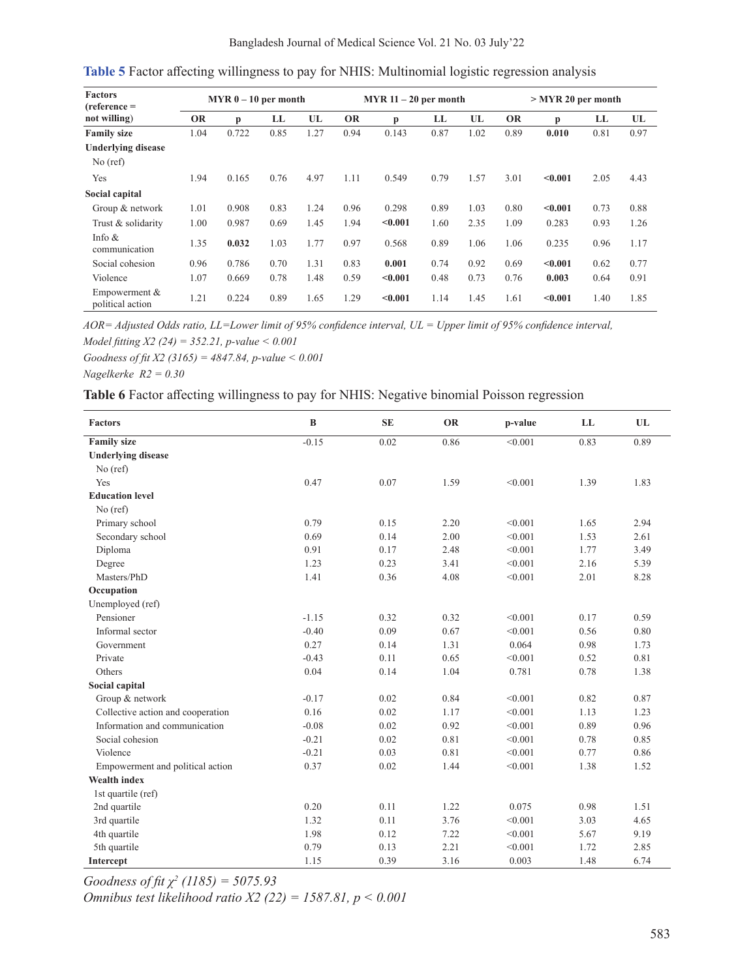| Bangladesh Journal of Medical Science Vol. 21 No. 03 July'22 |  |  |  |  |
|--------------------------------------------------------------|--|--|--|--|
|                                                              |  |  |  |  |

| <b>Factors</b><br>$(reference =$    |           | $MYR 0 - 10$ per month |      |      | $MYR 11 - 20$ per month |         |      | $>$ MYR 20 per month |           |         |      |      |
|-------------------------------------|-----------|------------------------|------|------|-------------------------|---------|------|----------------------|-----------|---------|------|------|
| not willing)                        | <b>OR</b> | p                      | LL   | UL   | <b>OR</b>               | p       | LL   | UL                   | <b>OR</b> | p       | LL   | UL   |
| <b>Family size</b>                  | 1.04      | 0.722                  | 0.85 | 1.27 | 0.94                    | 0.143   | 0.87 | 1.02                 | 0.89      | 0.010   | 0.81 | 0.97 |
| <b>Underlying disease</b>           |           |                        |      |      |                         |         |      |                      |           |         |      |      |
| $No$ (ref)                          |           |                        |      |      |                         |         |      |                      |           |         |      |      |
| Yes                                 | 1.94      | 0.165                  | 0.76 | 4.97 | 1.11                    | 0.549   | 0.79 | 1.57                 | 3.01      | < 0.001 | 2.05 | 4.43 |
| Social capital                      |           |                        |      |      |                         |         |      |                      |           |         |      |      |
| Group & network                     | 1.01      | 0.908                  | 0.83 | 1.24 | 0.96                    | 0.298   | 0.89 | 1.03                 | 0.80      | < 0.001 | 0.73 | 0.88 |
| Trust & solidarity                  | 1.00      | 0.987                  | 0.69 | 1.45 | 1.94                    | < 0.001 | 1.60 | 2.35                 | 1.09      | 0.283   | 0.93 | 1.26 |
| Info $&$<br>communication           | 1.35      | 0.032                  | 1.03 | 1.77 | 0.97                    | 0.568   | 0.89 | 1.06                 | 1.06      | 0.235   | 0.96 | 1.17 |
| Social cohesion                     | 0.96      | 0.786                  | 0.70 | 1.31 | 0.83                    | 0.001   | 0.74 | 0.92                 | 0.69      | < 0.001 | 0.62 | 0.77 |
| Violence                            | 1.07      | 0.669                  | 0.78 | 1.48 | 0.59                    | < 0.001 | 0.48 | 0.73                 | 0.76      | 0.003   | 0.64 | 0.91 |
| Empowerment $&$<br>political action | 1.21      | 0.224                  | 0.89 | 1.65 | 1.29                    | < 0.001 | 1.14 | 1.45                 | 1.61      | < 0.001 | 1.40 | 1.85 |

**Table 5** Factor affecting willingness to pay for NHIS: Multinomial logistic regression analysis

*AOR= Adjusted Odds ratio, LL=Lower limit of 95% confidence interval, UL = Upper limit of 95% confidence interval, Model fitting X2 (24) = 352.21, p-value < 0.001*

*Goodness of fit X2 (3165) = 4847.84, p-value < 0.001*

*Nagelkerke R2 = 0.30*

# **Table 6** Factor affecting willingness to pay for NHIS: Negative binomial Poisson regression

| <b>Factors</b>                    | $\bf{B}$ | <b>SE</b> | <b>OR</b> | p-value | LL   | UL   |
|-----------------------------------|----------|-----------|-----------|---------|------|------|
| <b>Family size</b>                | $-0.15$  | 0.02      | 0.86      | < 0.001 | 0.83 | 0.89 |
| <b>Underlying disease</b>         |          |           |           |         |      |      |
| $No$ (ref)                        |          |           |           |         |      |      |
| Yes                               | 0.47     | 0.07      | 1.59      | < 0.001 | 1.39 | 1.83 |
| <b>Education level</b>            |          |           |           |         |      |      |
| $No$ (ref)                        |          |           |           |         |      |      |
| Primary school                    | 0.79     | 0.15      | 2.20      | < 0.001 | 1.65 | 2.94 |
| Secondary school                  | 0.69     | 0.14      | 2.00      | < 0.001 | 1.53 | 2.61 |
| Diploma                           | 0.91     | 0.17      | 2.48      | < 0.001 | 1.77 | 3.49 |
| Degree                            | 1.23     | 0.23      | 3.41      | < 0.001 | 2.16 | 5.39 |
| Masters/PhD                       | 1.41     | 0.36      | 4.08      | < 0.001 | 2.01 | 8.28 |
| Occupation                        |          |           |           |         |      |      |
| Unemployed (ref)                  |          |           |           |         |      |      |
| Pensioner                         | $-1.15$  | 0.32      | 0.32      | < 0.001 | 0.17 | 0.59 |
| Informal sector                   | $-0.40$  | 0.09      | 0.67      | < 0.001 | 0.56 | 0.80 |
| Government                        | 0.27     | 0.14      | 1.31      | 0.064   | 0.98 | 1.73 |
| Private                           | $-0.43$  | 0.11      | 0.65      | < 0.001 | 0.52 | 0.81 |
| Others                            | 0.04     | 0.14      | 1.04      | 0.781   | 0.78 | 1.38 |
| Social capital                    |          |           |           |         |      |      |
| Group & network                   | $-0.17$  | 0.02      | 0.84      | < 0.001 | 0.82 | 0.87 |
| Collective action and cooperation | 0.16     | 0.02      | 1.17      | < 0.001 | 1.13 | 1.23 |
| Information and communication     | $-0.08$  | 0.02      | 0.92      | < 0.001 | 0.89 | 0.96 |
| Social cohesion                   | $-0.21$  | 0.02      | 0.81      | < 0.001 | 0.78 | 0.85 |
| Violence                          | $-0.21$  | 0.03      | 0.81      | < 0.001 | 0.77 | 0.86 |
| Empowerment and political action  | 0.37     | 0.02      | 1.44      | < 0.001 | 1.38 | 1.52 |
| <b>Wealth index</b>               |          |           |           |         |      |      |
| 1st quartile (ref)                |          |           |           |         |      |      |
| 2nd quartile                      | 0.20     | 0.11      | 1.22      | 0.075   | 0.98 | 1.51 |
| 3rd quartile                      | 1.32     | 0.11      | 3.76      | < 0.001 | 3.03 | 4.65 |
| 4th quartile                      | 1.98     | 0.12      | 7.22      | < 0.001 | 5.67 | 9.19 |
| 5th quartile                      | 0.79     | 0.13      | 2.21      | < 0.001 | 1.72 | 2.85 |
| Intercept                         | 1.15     | 0.39      | 3.16      | 0.003   | 1.48 | 6.74 |

*Goodness of fit χ<sup>2</sup> (1185) = 5075.93*

*Omnibus test likelihood ratio X2 (22) = 1587.81, p < 0.001*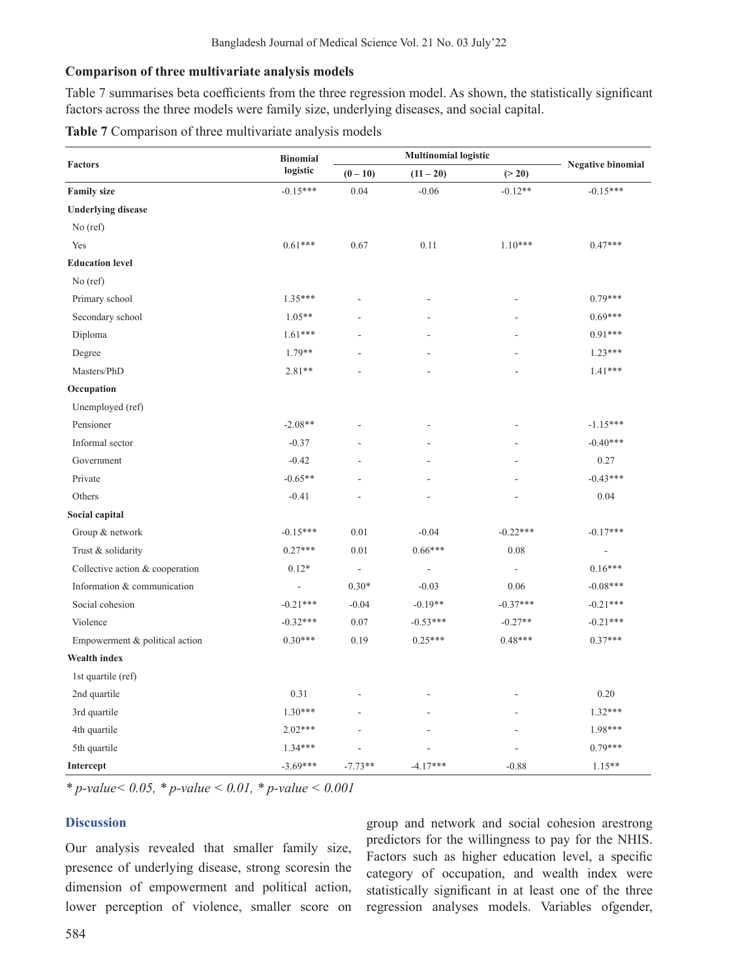### **Comparison of three multivariate analysis models**

Table 7 summarises beta coefficients from the three regression model. As shown, the statistically significant factors across the three models were family size, underlying diseases, and social capital.

| <b>Factors</b>                  | <b>Binomial</b> |                          | <b>Multinomial logistic</b> |                          |                          |  |
|---------------------------------|-----------------|--------------------------|-----------------------------|--------------------------|--------------------------|--|
|                                 | logistic        | $(0-10)$                 | $(11 - 20)$                 | (> 20)                   | <b>Negative binomial</b> |  |
| <b>Family size</b>              | $-0.15***$      | 0.04                     | $-0.06$                     | $-0.12**$                | $-0.15***$               |  |
| <b>Underlying disease</b>       |                 |                          |                             |                          |                          |  |
| $No$ (ref)                      |                 |                          |                             |                          |                          |  |
| Yes                             | $0.61***$       | 0.67                     | 0.11                        | $1.10***$                | $0.47***$                |  |
| <b>Education level</b>          |                 |                          |                             |                          |                          |  |
| No (ref)                        |                 |                          |                             |                          |                          |  |
| Primary school                  | $1.35***$       | $\overline{\phantom{a}}$ | ٠                           | $\overline{\phantom{a}}$ | $0.79***$                |  |
| Secondary school                | $1.05**$        |                          |                             |                          | $0.69***$                |  |
| Diploma                         | $1.61***$       | ÷.                       |                             |                          | $0.91***$                |  |
| Degree                          | $1.79**$        |                          |                             |                          | $1.23***$                |  |
| Masters/PhD                     | $2.81**$        |                          |                             |                          | $1.41***$                |  |
| Occupation                      |                 |                          |                             |                          |                          |  |
| Unemployed (ref)                |                 |                          |                             |                          |                          |  |
| Pensioner                       | $-2.08**$       |                          |                             |                          | $-1.15***$               |  |
| Informal sector                 | $-0.37$         | $\overline{a}$           |                             |                          | $-0.40***$               |  |
| Government                      | $-0.42$         |                          |                             |                          | 0.27                     |  |
| Private                         | $-0.65**$       |                          |                             |                          | $-0.43***$               |  |
| Others                          | $-0.41$         | ÷,                       | L                           |                          | 0.04                     |  |
| Social capital                  |                 |                          |                             |                          |                          |  |
| Group & network                 | $-0.15***$      | 0.01                     | $-0.04$                     | $-0.22***$               | $-0.17***$               |  |
| Trust & solidarity              | $0.27***$       | 0.01                     | $0.66***$                   | 0.08                     | $\overline{a}$           |  |
| Collective action & cooperation | $0.12*$         | $\overline{\phantom{a}}$ | $\overline{\phantom{a}}$    | $\overline{\phantom{a}}$ | $0.16***$                |  |
| Information & communication     | $\blacksquare$  | $0.30*$                  | $-0.03$                     | 0.06                     | $-0.08***$               |  |
| Social cohesion                 | $-0.21***$      | $-0.04$                  | $-0.19**$                   | $-0.37***$               | $-0.21***$               |  |
| Violence                        | $-0.32***$      | $0.07\,$                 | $-0.53***$                  | $-0.27**$                | $-0.21***$               |  |
| Empowerment & political action  | $0.30***$       | 0.19                     | $0.25***$                   | $0.48***$                | $0.37***$                |  |
| Wealth index                    |                 |                          |                             |                          |                          |  |
| 1st quartile (ref)              |                 |                          |                             |                          |                          |  |
| 2nd quartile                    | 0.31            | $\overline{a}$           | ٠                           | ٠                        | 0.20                     |  |
| 3rd quartile                    | $1.30***$       |                          |                             |                          | $1.32***$                |  |
| 4th quartile                    | $2.02***$       |                          | L,                          |                          | 1.98***                  |  |
| 5th quartile                    | $1.34***$       |                          |                             |                          | $0.79***$                |  |
| Intercept                       | $-3.69***$      | $-7.73**$                | $-4.17***$                  | $-0.88$                  | $1.15**$                 |  |

*\* p-value< 0.05, \* p-value < 0.01, \* p-value < 0.001*

## **Discussion**

Our analysis revealed that smaller family size, presence of underlying disease, strong scoresin the dimension of empowerment and political action, lower perception of violence, smaller score on group and network and social cohesion arestrong predictors for the willingness to pay for the NHIS. Factors such as higher education level, a specific category of occupation, and wealth index were statistically significant in at least one of the three regression analyses models. Variables ofgender,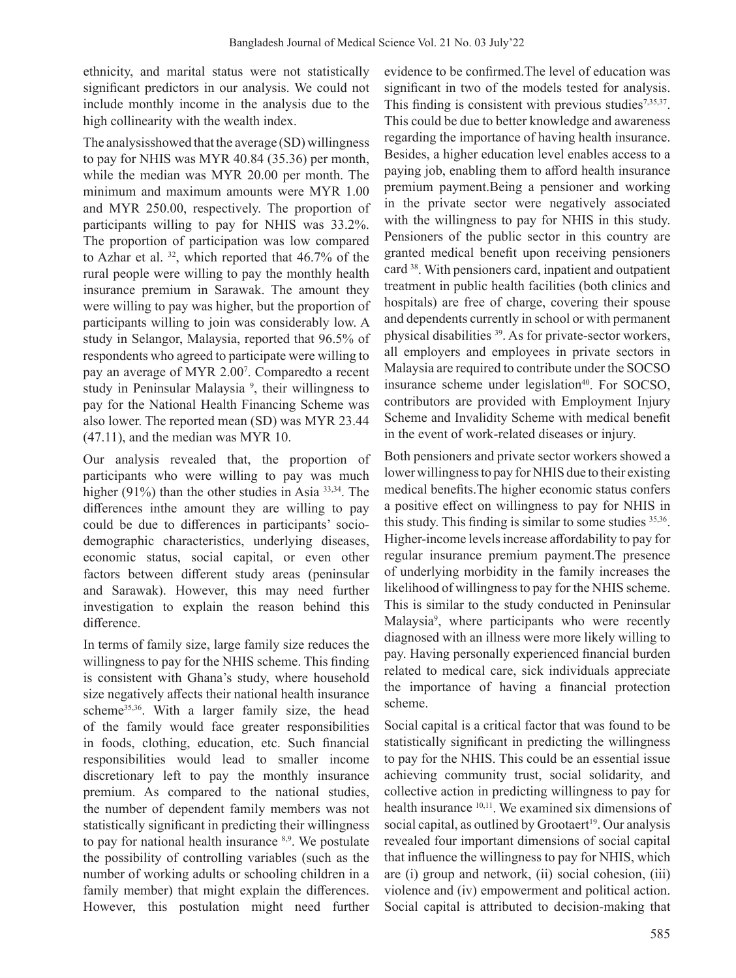ethnicity, and marital status were not statistically significant predictors in our analysis. We could not include monthly income in the analysis due to the high collinearity with the wealth index.

The analysisshowed that the average (SD) willingness to pay for NHIS was MYR 40.84 (35.36) per month, while the median was MYR 20.00 per month. The minimum and maximum amounts were MYR 1.00 and MYR 250.00, respectively. The proportion of participants willing to pay for NHIS was 33.2%. The proportion of participation was low compared to Azhar et al.  $32$ , which reported that 46.7% of the rural people were willing to pay the monthly health insurance premium in Sarawak. The amount they were willing to pay was higher, but the proportion of participants willing to join was considerably low. A study in Selangor, Malaysia, reported that 96.5% of respondents who agreed to participate were willing to pay an average of MYR 2.00<sup>7</sup> . Comparedto a recent study in Peninsular Malaysia<sup>9</sup>, their willingness to pay for the National Health Financing Scheme was also lower. The reported mean (SD) was MYR 23.44 (47.11), and the median was MYR 10.

Our analysis revealed that, the proportion of participants who were willing to pay was much higher (91%) than the other studies in Asia 33,34. The differences inthe amount they are willing to pay could be due to differences in participants' sociodemographic characteristics, underlying diseases, economic status, social capital, or even other factors between different study areas (peninsular and Sarawak). However, this may need further investigation to explain the reason behind this difference.

In terms of family size, large family size reduces the willingness to pay for the NHIS scheme. This finding is consistent with Ghana's study, where household size negatively affects their national health insurance scheme<sup>35,36</sup>. With a larger family size, the head of the family would face greater responsibilities in foods, clothing, education, etc. Such financial responsibilities would lead to smaller income discretionary left to pay the monthly insurance premium. As compared to the national studies, the number of dependent family members was not statistically significant in predicting their willingness to pay for national health insurance  $8.9$ . We postulate the possibility of controlling variables (such as the number of working adults or schooling children in a family member) that might explain the differences. However, this postulation might need further evidence to be confirmed.The level of education was significant in two of the models tested for analysis. This finding is consistent with previous studies $7,35,37$ . This could be due to better knowledge and awareness regarding the importance of having health insurance. Besides, a higher education level enables access to a paying job, enabling them to afford health insurance premium payment.Being a pensioner and working in the private sector were negatively associated with the willingness to pay for NHIS in this study. Pensioners of the public sector in this country are granted medical benefit upon receiving pensioners card <sup>38</sup>. With pensioners card, inpatient and outpatient treatment in public health facilities (both clinics and hospitals) are free of charge, covering their spouse and dependents currently in school or with permanent physical disabilities 39. As for private-sector workers, all employers and employees in private sectors in Malaysia are required to contribute under the SOCSO insurance scheme under legislation $40$ . For SOCSO, contributors are provided with Employment Injury Scheme and Invalidity Scheme with medical benefit in the event of work-related diseases or injury.

Both pensioners and private sector workers showed a lower willingness to pay for NHIS due to their existing medical benefits.The higher economic status confers a positive effect on willingness to pay for NHIS in this study. This finding is similar to some studies 35,36. Higher-income levels increase affordability to pay for regular insurance premium payment.The presence of underlying morbidity in the family increases the likelihood of willingnessto pay for the NHIS scheme. This is similar to the study conducted in Peninsular Malaysia9 , where participants who were recently diagnosed with an illness were more likely willing to pay. Having personally experienced financial burden related to medical care, sick individuals appreciate the importance of having a financial protection scheme.

Social capital is a critical factor that was found to be statistically significant in predicting the willingness to pay for the NHIS. This could be an essential issue achieving community trust, social solidarity, and collective action in predicting willingness to pay for health insurance <sup>10,11</sup>. We examined six dimensions of social capital, as outlined by Grootaert<sup>19</sup>. Our analysis revealed four important dimensions of social capital that influence the willingness to pay for NHIS, which are (i) group and network, (ii) social cohesion, (iii) violence and (iv) empowerment and political action. Social capital is attributed to decision-making that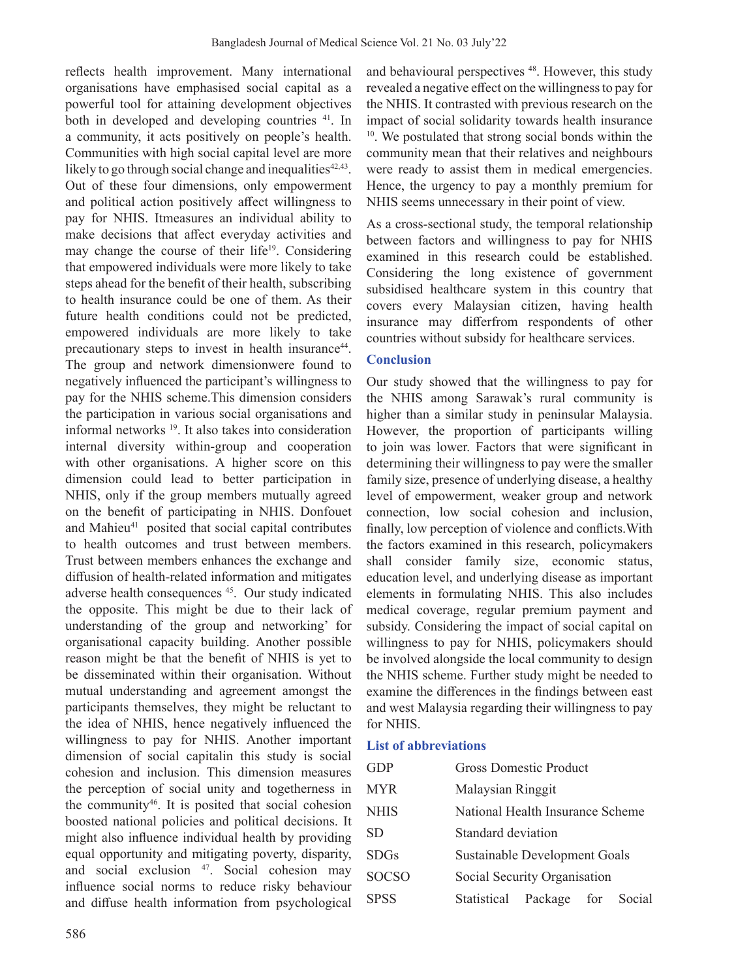reflects health improvement. Many international organisations have emphasised social capital as a powerful tool for attaining development objectives both in developed and developing countries <sup>41</sup>. In a community, it acts positively on people's health. Communities with high social capital level are more likely to go through social change and inequalities<sup>42,43</sup>. Out of these four dimensions, only empowerment and political action positively affect willingness to pay for NHIS. Itmeasures an individual ability to make decisions that affect everyday activities and may change the course of their life<sup>19</sup>. Considering that empowered individuals were more likely to take steps ahead for the benefit of their health, subscribing to health insurance could be one of them. As their future health conditions could not be predicted, empowered individuals are more likely to take precautionary steps to invest in health insurance<sup>44</sup>. The group and network dimensionwere found to negatively influenced the participant's willingness to pay for the NHIS scheme.This dimension considers the participation in various social organisations and informal networks <sup>19</sup>. It also takes into consideration internal diversity within-group and cooperation with other organisations. A higher score on this dimension could lead to better participation in NHIS, only if the group members mutually agreed on the benefit of participating in NHIS. Donfouet and Mahieu<sup>41</sup> posited that social capital contributes to health outcomes and trust between members. Trust between members enhances the exchange and diffusion of health-related information and mitigates adverse health consequences 45. Our study indicated the opposite. This might be due to their lack of understanding of the group and networking' for organisational capacity building. Another possible reason might be that the benefit of NHIS is yet to be disseminated within their organisation. Without mutual understanding and agreement amongst the participants themselves, they might be reluctant to the idea of NHIS, hence negatively influenced the willingness to pay for NHIS. Another important dimension of social capitalin this study is social cohesion and inclusion. This dimension measures the perception of social unity and togetherness in the community<sup>46</sup>. It is posited that social cohesion boosted national policies and political decisions. It might also influence individual health by providing equal opportunity and mitigating poverty, disparity, and social exclusion <sup>47</sup>. Social cohesion may influence social norms to reduce risky behaviour and diffuse health information from psychological

and behavioural perspectives 48. However, this study revealed a negative effect on the willingnessto pay for the NHIS. It contrasted with previous research on the impact of social solidarity towards health insurance 10. We postulated that strong social bonds within the community mean that their relatives and neighbours were ready to assist them in medical emergencies. Hence, the urgency to pay a monthly premium for NHIS seems unnecessary in their point of view.

As a cross-sectional study, the temporal relationship between factors and willingness to pay for NHIS examined in this research could be established. Considering the long existence of government subsidised healthcare system in this country that covers every Malaysian citizen, having health insurance may differfrom respondents of other countries without subsidy for healthcare services.

## **Conclusion**

Our study showed that the willingness to pay for the NHIS among Sarawak's rural community is higher than a similar study in peninsular Malaysia. However, the proportion of participants willing to join was lower. Factors that were significant in determining their willingness to pay were the smaller family size, presence of underlying disease, a healthy level of empowerment, weaker group and network connection, low social cohesion and inclusion, finally, low perception of violence and conflicts.With the factors examined in this research, policymakers shall consider family size, economic status, education level, and underlying disease as important elements in formulating NHIS. This also includes medical coverage, regular premium payment and subsidy. Considering the impact of social capital on willingness to pay for NHIS, policymakers should be involved alongside the local community to design the NHIS scheme. Further study might be needed to examine the differences in the findings between east and west Malaysia regarding their willingness to pay for NHIS.

## **List of abbreviations**

| <b>GDP</b>   | <b>Gross Domestic Product</b>    |                               |  |  |  |  |  |  |
|--------------|----------------------------------|-------------------------------|--|--|--|--|--|--|
| MYR          | Malaysian Ringgit                |                               |  |  |  |  |  |  |
| <b>NHIS</b>  | National Health Insurance Scheme |                               |  |  |  |  |  |  |
| SD           | Standard deviation               |                               |  |  |  |  |  |  |
| <b>SDGs</b>  |                                  | Sustainable Development Goals |  |  |  |  |  |  |
| <b>SOCSO</b> | Social Security Organisation     |                               |  |  |  |  |  |  |
| <b>SPSS</b>  | Statistical Package for Social   |                               |  |  |  |  |  |  |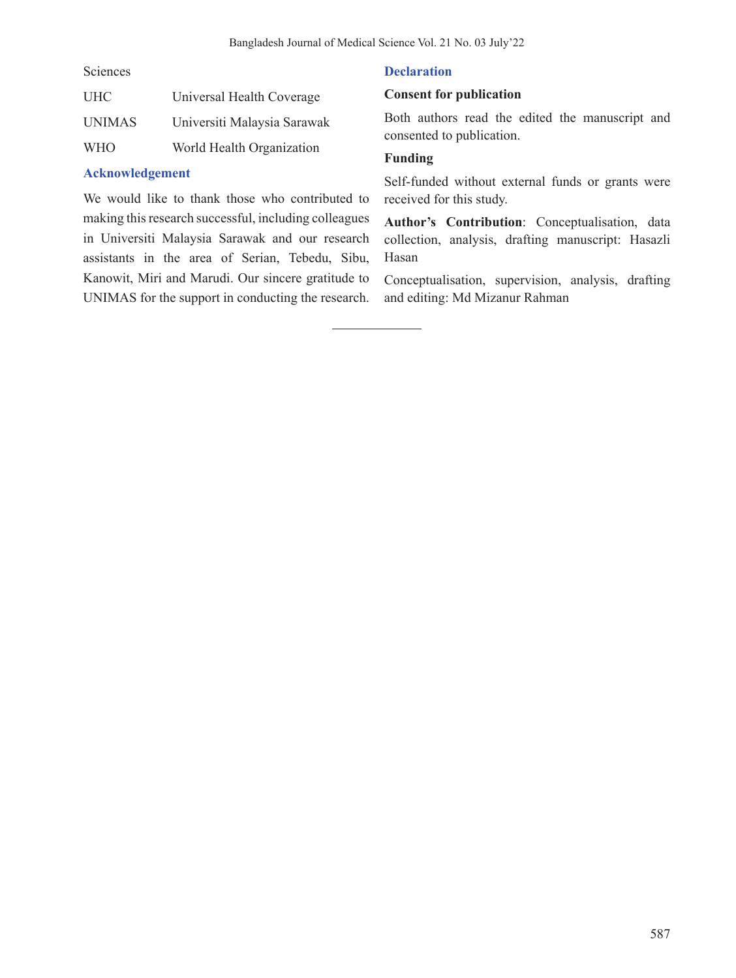Sciences

| <b>UHC</b>    | Universal Health Coverage   |
|---------------|-----------------------------|
| <b>UNIMAS</b> | Universiti Malaysia Sarawak |
| <b>WHO</b>    | World Health Organization   |

# **Acknowledgement**

We would like to thank those who contributed to making this research successful, including colleagues in Universiti Malaysia Sarawak and our research assistants in the area of Serian, Tebedu, Sibu, Kanowit, Miri and Marudi. Our sincere gratitude to UNIMAS for the support in conducting the research.

# **Declaration**

# **Consent for publication**

Both authors read the edited the manuscript and consented to publication.

# **Funding**

Self-funded without external funds or grants were received for this study.

**Author's Contribution**: Conceptualisation, data collection, analysis, drafting manuscript: Hasazli Hasan

Conceptualisation, supervision, analysis, drafting and editing: Md Mizanur Rahman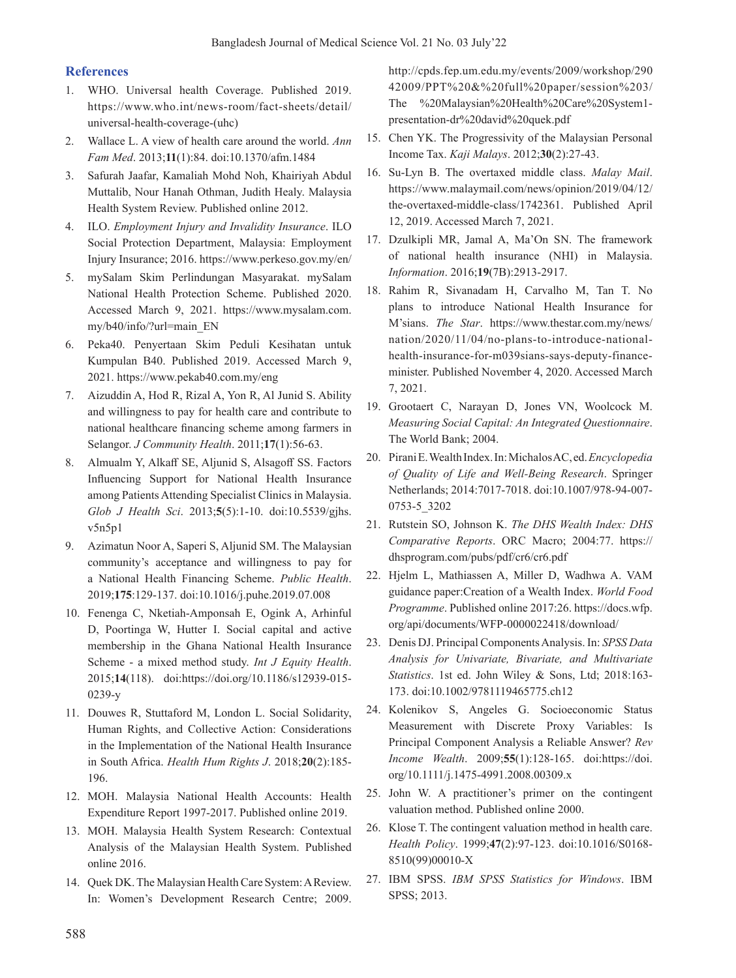## **References**

- 1. WHO. Universal health Coverage. Published 2019. https://www.who.int/news-room/fact-sheets/detail/ universal-health-coverage-(uhc)
- 2. Wallace L. A view of health care around the world. *Ann Fam Med*. 2013;**11**(1):84. doi:10.1370/afm.1484
- 3. Safurah Jaafar, Kamaliah Mohd Noh, Khairiyah Abdul Muttalib, Nour Hanah Othman, Judith Healy. Malaysia Health System Review. Published online 2012.
- 4. ILO. *Employment Injury and Invalidity Insurance*. ILO Social Protection Department, Malaysia: Employment Injury Insurance; 2016. https://www.perkeso.gov.my/en/
- 5. mySalam Skim Perlindungan Masyarakat. mySalam National Health Protection Scheme. Published 2020. Accessed March 9, 2021. https://www.mysalam.com. my/b40/info/?url=main\_EN
- 6. Peka40. Penyertaan Skim Peduli Kesihatan untuk Kumpulan B40. Published 2019. Accessed March 9, 2021. https://www.pekab40.com.my/eng
- 7. Aizuddin A, Hod R, Rizal A, Yon R, Al Junid S. Ability and willingness to pay for health care and contribute to national healthcare financing scheme among farmers in Selangor. *J Community Health*. 2011;**17**(1):56-63.
- 8. Almualm Y, Alkaff SE, Aljunid S, Alsagoff SS. Factors Influencing Support for National Health Insurance among Patients Attending Specialist Clinics in Malaysia. *Glob J Health Sci*. 2013;**5**(5):1-10. doi:10.5539/gjhs. v5n5p1
- 9. Azimatun Noor A, Saperi S, Aljunid SM. The Malaysian community's acceptance and willingness to pay for a National Health Financing Scheme. *Public Health*. 2019;**175**:129-137. doi:10.1016/j.puhe.2019.07.008
- 10. Fenenga C, Nketiah-Amponsah E, Ogink A, Arhinful D, Poortinga W, Hutter I. Social capital and active membership in the Ghana National Health Insurance Scheme - a mixed method study. *Int J Equity Health*. 2015;**14**(118). doi:https://doi.org/10.1186/s12939-015- 0239-y
- 11. Douwes R, Stuttaford M, London L. Social Solidarity, Human Rights, and Collective Action: Considerations in the Implementation of the National Health Insurance in South Africa. *Health Hum Rights J*. 2018;**20**(2):185- 196.
- 12. MOH. Malaysia National Health Accounts: Health Expenditure Report 1997-2017. Published online 2019.
- 13. MOH. Malaysia Health System Research: Contextual Analysis of the Malaysian Health System. Published online 2016.
- 14. Quek DK. The Malaysian Health Care System: A Review. In: Women's Development Research Centre; 2009.

http://cpds.fep.um.edu.my/events/2009/workshop/290 42009/PPT%20&%20full%20paper/session%203/ The %20Malaysian%20Health%20Care%20System1 presentation-dr%20david%20quek.pdf

- 15. Chen YK. The Progressivity of the Malaysian Personal Income Tax. *Kaji Malays*. 2012;**30**(2):27-43.
- 16. Su-Lyn B. The overtaxed middle class. *Malay Mail*. https://www.malaymail.com/news/opinion/2019/04/12/ the-overtaxed-middle-class/1742361. Published April 12, 2019. Accessed March 7, 2021.
- 17. Dzulkipli MR, Jamal A, Ma'On SN. The framework of national health insurance (NHI) in Malaysia. *Information*. 2016;**19**(7B):2913-2917.
- 18. Rahim R, Sivanadam H, Carvalho M, Tan T. No plans to introduce National Health Insurance for M'sians. *The Star*. https://www.thestar.com.my/news/ nation/2020/11/04/no-plans-to-introduce-nationalhealth-insurance-for-m039sians-says-deputy-financeminister. Published November 4, 2020. Accessed March 7, 2021.
- 19. Grootaert C, Narayan D, Jones VN, Woolcock M. *Measuring Social Capital: An Integrated Questionnaire*. The World Bank; 2004.
- 20. PiraniE.WealthIndex.In:MichalosAC,ed.*Encyclopedia of Quality of Life and Well-Being Research*. Springer Netherlands; 2014:7017-7018. doi:10.1007/978-94-007- 0753-5\_3202
- 21. Rutstein SO, Johnson K. *The DHS Wealth Index: DHS Comparative Reports*. ORC Macro; 2004:77. https:// dhsprogram.com/pubs/pdf/cr6/cr6.pdf
- 22. Hjelm L, Mathiassen A, Miller D, Wadhwa A. VAM guidance paper:Creation of a Wealth Index. *World Food Programme*. Published online 2017:26. https://docs.wfp. org/api/documents/WFP-0000022418/download/
- 23. Denis DJ. Principal ComponentsAnalysis. In: *SPSS Data Analysis for Univariate, Bivariate, and Multivariate Statistics*. 1st ed. John Wiley & Sons, Ltd; 2018:163- 173. doi:10.1002/9781119465775.ch12
- 24. Kolenikov S, Angeles G. Socioeconomic Status Measurement with Discrete Proxy Variables: Is Principal Component Analysis a Reliable Answer? *Rev Income Wealth*. 2009;**55**(1):128-165. doi:https://doi. org/10.1111/j.1475-4991.2008.00309.x
- 25. John W. A practitioner's primer on the contingent valuation method. Published online 2000.
- 26. Klose T. The contingent valuation method in health care. *Health Policy*. 1999;**47**(2):97-123. doi:10.1016/S0168- 8510(99)00010-X
- 27. IBM SPSS. *IBM SPSS Statistics for Windows*. IBM SPSS; 2013.